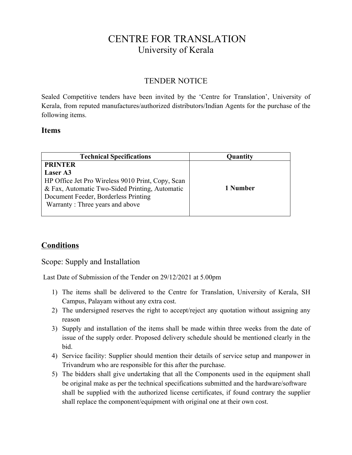## CENTRE FOR TRANSLATION University of Kerala

## TENDER NOTICE

Sealed Competitive tenders have been invited by the 'Centre for Translation', University of Kerala, from reputed manufactures/authorized distributors/Indian Agents for the purchase of the following items.

## **Items**

| <b>Technical Specifications</b>                   | Quantity |
|---------------------------------------------------|----------|
| <b>PRINTER</b>                                    |          |
| Laser A3                                          |          |
| HP Office Jet Pro Wireless 9010 Print, Copy, Scan |          |
| & Fax, Automatic Two-Sided Printing, Automatic    | 1 Number |
| Document Feeder, Borderless Printing              |          |
| Warranty: Three years and above                   |          |
|                                                   |          |

## **Conditions**

Scope: Supply and Installation

Last Date of Submission of the Tender on 29/12/2021 at 5.00pm

- 1) The items shall be delivered to the Centre for Translation, University of Kerala, SH Campus, Palayam without any extra cost.
- 2) The undersigned reserves the right to accept/reject any quotation without assigning any reason
- 3) Supply and installation of the items shall be made within three weeks from the date of issue of the supply order. Proposed delivery schedule should be mentioned clearly in the bid.
- 4) Service facility: Supplier should mention their details of service setup and manpower in Trivandrum who are responsible for this after the purchase.
- 5) The bidders shall give undertaking that all the Components used in the equipment shall be original make as per the technical specifications submitted and the hardware/software shall be supplied with the authorized license certificates, if found contrary the supplier shall replace the component/equipment with original one at their own cost.